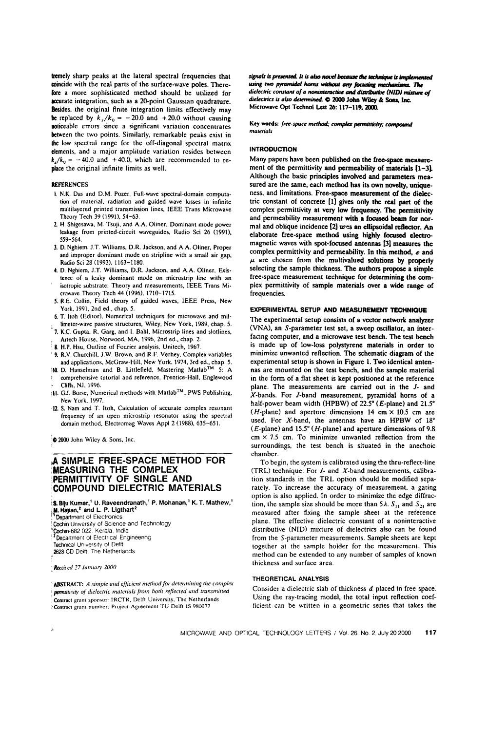tremely sharp peaks at the lateral spectral frequencies that coincide with the real parts of the surface-wave poles. Therefore a more sophisticated method should be utilized for accurate integration, such as a 20-point Gaussian quadrature. Besides, the original finite integration limits effectively may be replaced by  $k_x/k_0 = -20.0$  and  $+20.0$  without causing noticeable errors since a significant variation concentrates between the two points. Similarly, remarkable peaks exist in the low spectral range for the off-diagonal spectral matrix elements, and a major amplitude variation resides between  $k_x/k_0 = -40.0$  and  $+40.0$ , which are recommended to replace the original infinite limits as well.

#### **REFERENCES**

- l. N.K. Das and D.M. Pozer. Full-wave spectral-domain computation ol material, radiation and guided wave losses in infinite niultilayered printed transmission lines, IEEE Trans Microwave Theory Tech 39 (1991), 54-63.
- 7. H. Shigesawa. M. Tsuji, and AA. Oliner. Dominant mode power leakage from printed-circuit waveguides, Radio Sci 26 (1991), 559-564.
- 3. D. Nghiem, J.T. Williams, D.R. Jackson, and A.A. Oliner, Proper and improper dominant mode on stripline with a small air gap, Radio Sci 28 (1993). 1163-1180.
- 4. D. Nghiem, J.T. Williams, D.R. Jackson, and A.A. Oliner. Existence of a leaky dominant mode on microstrip line with an isotropic substrate: Theory and measurements, IEEE Trans Microwave Theory Tech 44 (1996), 1710-1715.
- 5. R.E. Collin. Field theory of guided waves, IEEE Press, New York. 1991, 2nd ed., chap. 5.
- 6. T. ltoh (Editor), Numerical techniques for microwave and mil limeter-wave passive structures, Wiley, New York, 1989, chap. 5.
- 7. K.C. Gupta, R. Ciarg, and I. Bahl, Microstrip lines and slotlines, Artech House, Norwood, MA, 1996, 2nd ed., chap. 2.
- 8. H.P. Hsu, Outline of Fourier analysis, Unitech, 1967.
- 9. R.V. Churchill, J.W. Brown, and R.F. Verhey, Complex variables and applications, McGraw-Hill, New York, 1974, 3rd ed., chap. 5.<br>I-ll. D. Hanselman and B. Littlefield, Mastering Matlab<sup>™</sup> 5: A
- l comprehensive tutorial and reference. Prentice-Hall. Englewood Cliffs, NJ, 1996.
- ill. GJ. Borse, Numerical methods with MatlabT"', PWS Publishing, New York. 1997.
- 17. S. Nam and T. Itoh, Calculation of accurate complex resonant frequency of an open microstrip resonator using the spectral domain method, Electromag Waves Appl 2 (1988), 635~65l.

 $\bullet$  2000 John Wiley & Sons, Inc.

# ,A SIMPLE FREE-SPACE METHOD FOR (MEASURING THE COMPLEX PERMITTIVITY OF SINGLE AND COMPOUND DIELECTRIC MATERIALS

- $\lambda$ S. Biju Kumar, $^1$  U. Raveendranath, $^1$  P. Mohanan, $^1$  K. T. Mathew, $^1$
- **III. Hajian,<sup>2</sup> and L. P. Ligthart<sup>2</sup>**<br>Department of Electronics
- Cochin University of Science and Technology
- 'Cochin-682 022. Kerala, India
- <sup>2</sup> Department of Electrical Engineering
- Technical University of Delft 2628 CD Delft. The Netherlands
- 

Received 27 January 2000

- ABSTRACT: A simple and efficient method for determining the complex permittivity of dielectric materials from both reflected and transmitted
- Contract grant sponsor: IRCTR, Delft University. The Netherlands
- ('Contract grant nuiiiher: Project Agreement TU Delft IS 980077

signals is presented. It is also novel because the technique is implemented using two pyramidal horns without any focusing mechanisms. The dielectric constant of a noninteractive and distributive (NID) mixture of dielectrics is also determined.  $\Phi$  2000 John Wiley & Sons, Inc. Microwave Opt Technol Lett 26: 117-119, 2000.

Key words: free-space method; complex permittivity; compound materials

## INTRODUCTION

Many papers have been published on the free-space measurement of the permittivity and permeability of materials  $[1-3]$ . Although the basic principles involved and parameters measured are the same, each method has its own novelty, uniqueness, and limitations. Free-space measurement of the dielectric constant of concrete [1] gives only the real part of the complex permittivity at very low frequency. The permittivity and permeability measurement with a focused beam for normal and oblique incidence [2] uses an ellipsoidal reflector. An elaborate free-space method using highly focused electromagnetic waves with spot-focused antennas [3] measures the complex permittivity and permeability. In this method,  $\epsilon$  and  $\mu$  are chosen from the multivalued solutions by properly selecting the sample thickness. The authors propose a simple free-space measurement technique for determining the complex permittivity of sample materials over a wide range of frequencies.

#### EXPERIMENTAL SETUP AND MEASUREMENT TECHNIQUE

The experimental setup consists of a vector network analyzer (VNA), an S-parameter test set, a sweep oscillator, an interfacing computer, and a microwave test bench. The test bench is made up of low-loss polystyrene materials in order to minimize unwanted reflection. The schematic diagram of the experimental setup is shown in Figure 1. Two identical antennas are mounted on the test bench, and the sample material in the form of aflat sheet is kept positioned at the reference plane. The measurements are carried out in the 1- and X-bands. For J-band measurement, pyramidal horns of a half-power beam width (HPBW) of  $22.5^{\circ}$  (*E*-plane) and  $21.5^{\circ}$ (*H*-plane) and aperture dimensions 14 cm  $\times$  10.5 cm are used. For X-band, the antennas have an HPBW of 18°  $(E\text{-plane})$  and 15.5° (*H*-plane) and aperture dimensions of 9.8  $cm \times 7.5$  cm. To minimize unwanted reflection from the surroundings, the test bench is situated in the anechoic chamber.

To begin, the system is calibrated using the thru-reflect-line (TRL) technique. For  $J$ - and  $X$ -band measurements, calibration standards in the TRL option should be modified separately. To increase the accuracy of measurement. a gating option is also applied. In order to minimize the edge diffraction, the sample size should be more than  $5\lambda$ .  $S_{11}$  and  $S_{21}$  are measured after fixing the sample sheet at the reference plane. The effective dielectric constant of a nonintcractive distributive (NID) mixture of dielectrics also can be found from the S-parameter measurements. Sample sheets are kept together at the sample holder for the measurement. This method can be extended to any number of samples of known thickness and surface area.

### THEORETICAL ANALYSIS

Consider a dielectric slab of thickness d placed in free space. Using the ray-tracing model, the total input reflection coefficient can be written in a geometric series that takes the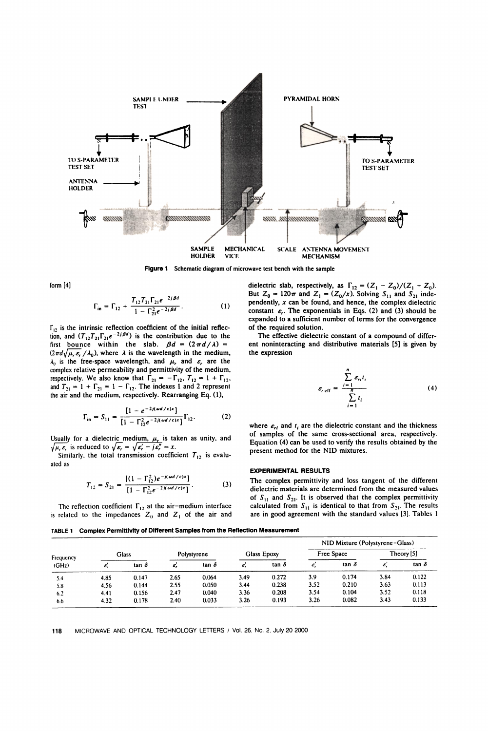

Figure 1 Schematic diagram of microwave test bench with the sample

form [4]

$$
\Gamma_{\text{in}} = \Gamma_{12} + \frac{T_{12} T_{21} \Gamma_{21} e^{-2j \beta d}}{1 - \Gamma_{21}^2 e^{-2j \beta d}}.
$$
 (1)

 $\Gamma_{12}$  is the intrinsic reflection coefficient of the initial reflection, and  $(T_{12}T_{21}\Gamma_{21}e^{-2j\beta d})$  is the contribution due to the first bounce within the slab.  $\beta d = (2\pi d/\lambda) =$  $(2\pi d\sqrt{\mu_{r}\epsilon_{r}}/\lambda_{0})$ , where  $\lambda$  is the wavelength in the medium,  $\lambda_0$  is the free-space wavelength, and  $\mu$ , and  $\varepsilon$ , are the complex relative permeability and permittivity of the medium, respectively. We also know that  $\Gamma_{21} = -\Gamma_{12}$ ,  $T_{12} = 1 + \Gamma_{12}$ , and  $T_{21} = 1 + \Gamma_{21} = 1 - \Gamma_{12}$ . The indexes 1 and 2 represent the air and the medium, respectively. Rearranging Eq. (1),

$$
\Gamma_{\text{in}} = S_{11} = \frac{[1 - e^{-2j(\omega d/c)x}]}{[1 - \Gamma_{12}^2 e^{-2j(\omega d/c)x}]} \Gamma_{12}.
$$
 (2)

Usually for a dielectric medium,  $\mu_r$  is taken as unity, and  $\sqrt{\mu_{r} \varepsilon_{r}}$  is reduced to  $\sqrt{\varepsilon_{r}} = \sqrt{\varepsilon_{r}} - j \varepsilon_{r}'' = x$ .

Similarly, the total transmission coefficient  $T_{12}$  is evaluated as

$$
T_{12} = S_{21} = \frac{[(1 - \Gamma_{12}^2)e^{-j(\omega d/c)x}]}{[1 - \Gamma_{12}^2e^{-2j(\omega d/c)x}]}.
$$
 (3)

The reflection coefficient  $\Gamma_{12}$  at the air-medium interface is related to the impedances  $Z_0$  and  $Z_1$  of the air and

dielectric slab, respectively, as  $\Gamma_{12} = (Z_1 - Z_0)/(Z_1 + Z_0)$ . But  $Z_0 = 120\pi$  and  $Z_1 = (Z_0/x)$ . Solving  $S_{11}$  and  $S_{21}$  independently,  $x$  can be found, and hence, the complex dielectric constant  $\varepsilon_r$ . The exponentials in Eqs. (2) and (3) should be expanded to a sufficient number of terms for the convergence of the required solution.

The effective dielectric constant of a compound of different noninteracting and distributive materials [5] is given by the expression

$$
\varepsilon_{r \text{ eff}} = \frac{\sum_{i=1}^{n} \varepsilon_{ri} t_i}{\sum_{i=1}^{n} t_i} \tag{4}
$$

where  $\varepsilon_{rl}$  and  $t_i$  are the dielectric constant and the thickness of samples of the same cross-sectional area, respectively. Equation (4) can be used to verify the results obtained by the present method for the NID mixtures.

## EXPERIMENTAL RESULTS

The complex permittivity and loss tangent of the different dielectric materials are determined from the measured values of  $S_{11}$  and  $S_{21}$ . It is observed that the complex permittivity calculated from  $S_{11}$  is identical to that from  $S_{21}$ . The results are in good agreement with the standard values [3]. Tables l

TABLE 1 Complex Permittivity of Different Samples from the Reflection Measurement

| Frequency<br>(GHz) |       |              |             |              |                    |              | NID Mixture (Polystyrene-Glass) |              |              |              |
|--------------------|-------|--------------|-------------|--------------|--------------------|--------------|---------------------------------|--------------|--------------|--------------|
|                    | Glass |              | Polystyrene |              | <b>Glass Epoxy</b> |              | Free Space                      |              | Theory $[5]$ |              |
|                    | ε,    | tan $\delta$ | ε,          | tan $\delta$ | Ė,                 | tan $\delta$ | ε,                              | tan $\delta$ | ε,           | tan $\delta$ |
| 5.4                | 4.85  | 0.147        | 2.65        | 0.064        | 3.49               | 0.272        | 3.9                             | 0.174        | 3.84         | 0.122        |
| 5.8                | 4.56  | 0.144        | 2.55        | 0.050        | 3.44               | 0.238        | 3.52                            | 0.210        | 3.63         | 0.113        |
| 6.2                | 4.41  | 0.156        | 2.47        | 0.040        | 3.36               | 0.208        | 3.54                            | 0.104        | 3.52         | 0.118        |
| 6.6                | 4.32  | 0.178        | 2.40        | 0.033        | 3.26               | 0.193        | 3.26                            | 0.082        | 3.43         | 0.133        |

118 MICROWAVE AND OPTICAL TECHNOLOGY LETTERS / Vol. 26. N0. 2. July 20 2000